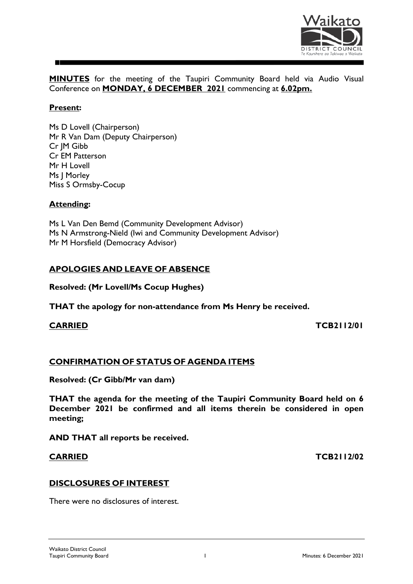

**MINUTES** for the meeting of the Taupiri Community Board held via Audio Visual Conference on **MONDAY, 6 DECEMBER 2021** commencing at **6.02pm.**

### **Present:**

Ms D Lovell (Chairperson) Mr R Van Dam (Deputy Chairperson) Cr JM Gibb Cr EM Patterson Mr H Lovell Ms J Morley Miss S Ormsby-Cocup

### **Attending:**

Ms L Van Den Bemd (Community Development Advisor) Ms N Armstrong-Nield (Iwi and Community Development Advisor) Mr M Horsfield (Democracy Advisor)

# **APOLOGIES AND LEAVE OF ABSENCE**

**Resolved: (Mr Lovell/Ms Cocup Hughes)**

**THAT the apology for non-attendance from Ms Henry be received.**

**CARRIED TCB2112/01**

### **CONFIRMATION OF STATUS OF AGENDA ITEMS**

**Resolved: (Cr Gibb/Mr van dam)**

**THAT the agenda for the meeting of the Taupiri Community Board held on 6 December 2021 be confirmed and all items therein be considered in open meeting;**

**AND THAT all reports be received.**

**CARRIED TCB2112/02**

### **DISCLOSURES OF INTEREST**

There were no disclosures of interest.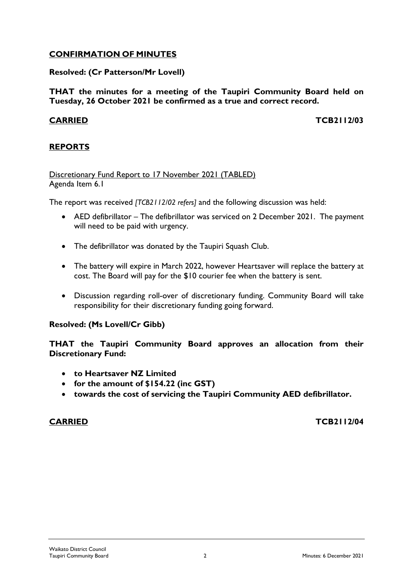# **CONFIRMATION OF MINUTES**

### **Resolved: (Cr Patterson/Mr Lovell)**

**THAT the minutes for a meeting of the Taupiri Community Board held on Tuesday, 26 October 2021 be confirmed as a true and correct record.**

**CARRIED TCB2112/03**

### **REPORTS**

### Discretionary Fund Report to 17 November 2021 (TABLED) Agenda Item 6.1

The report was received *[TCB2112/02 refers]* and the following discussion was held:

- AED defibrillator The defibrillator was serviced on 2 December 2021. The payment will need to be paid with urgency.
- The defibrillator was donated by the Taupiri Squash Club.
- The battery will expire in March 2022, however Heartsaver will replace the battery at cost. The Board will pay for the \$10 courier fee when the battery is sent.
- Discussion regarding roll-over of discretionary funding. Community Board will take responsibility for their discretionary funding going forward.

### **Resolved: (Ms Lovell/Cr Gibb)**

**THAT the Taupiri Community Board approves an allocation from their Discretionary Fund:**

- **to Heartsaver NZ Limited**
- **for the amount of \$154.22 (inc GST)**
- **towards the cost of servicing the Taupiri Community AED defibrillator.**

**CARRIED TCB2112/04**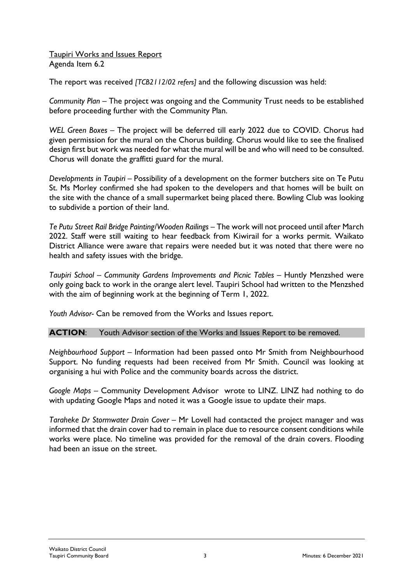### Taupiri Works and Issues Report Agenda Item 6.2

The report was received *[TCB2112/02 refers]* and the following discussion was held:

*Community Plan –* The project was ongoing and the Community Trust needs to be established before proceeding further with the Community Plan.

*WEL Green Boxes* – The project will be deferred till early 2022 due to COVID. Chorus had given permission for the mural on the Chorus building. Chorus would like to see the finalised design first but work was needed for what the mural will be and who will need to be consulted. Chorus will donate the graffitti guard for the mural.

*Developments in Taupiri* – Possibility of a development on the former butchers site on Te Putu St. Ms Morley confirmed she had spoken to the developers and that homes will be built on the site with the chance of a small supermarket being placed there. Bowling Club was looking to subdivide a portion of their land.

*Te Putu Street Rail Bridge Painting/Wooden Railings* – The work will not proceed until after March 2022. Staff were still waiting to hear feedback from Kiwirail for a works permit. Waikato District Alliance were aware that repairs were needed but it was noted that there were no health and safety issues with the bridge.

*Taupiri School – Community Gardens Improvements and Picnic Tables –* Huntly Menzshed were only going back to work in the orange alert level. Taupiri School had written to the Menzshed with the aim of beginning work at the beginning of Term 1, 2022.

*Youth Advisor-* Can be removed from the Works and Issues report.

### **ACTION**: Youth Advisor section of the Works and Issues Report to be removed.

*Neighbourhood Support –* Information had been passed onto Mr Smith from Neighbourhood Support. No funding requests had been received from Mr Smith. Council was looking at organising a hui with Police and the community boards across the district.

*Google Maps –* Community Development Advisor wrote to LINZ. LINZ had nothing to do with updating Google Maps and noted it was a Google issue to update their maps.

*Taraheke Dr Stormwater Drain Cover* – Mr Lovell had contacted the project manager and was informed that the drain cover had to remain in place due to resource consent conditions while works were place. No timeline was provided for the removal of the drain covers. Flooding had been an issue on the street.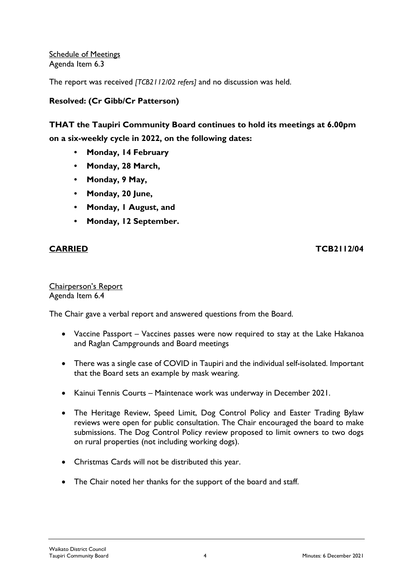Schedule of Meetings Agenda Item 6.3

The report was received *[TCB2112/02 refers]* and no discussion was held.

# **Resolved: (Cr Gibb/Cr Patterson)**

# **THAT the Taupiri Community Board continues to hold its meetings at 6.00pm on a six-weekly cycle in 2022, on the following dates:**

- **Monday, 14 February**
- **Monday, 28 March,**
- **Monday, 9 May,**
- **Monday, 20 June,**
- **Monday, 1 August, and**
- **Monday, 12 September.**

### **CARRIED TCB2112/04**

### Chairperson's Report Agenda Item 6.4

The Chair gave a verbal report and answered questions from the Board.

- Vaccine Passport Vaccines passes were now required to stay at the Lake Hakanoa and Raglan Campgrounds and Board meetings
- There was a single case of COVID in Taupiri and the individual self-isolated. Important that the Board sets an example by mask wearing.
- Kainui Tennis Courts Maintenace work was underway in December 2021.
- The Heritage Review, Speed Limit, Dog Control Policy and Easter Trading Bylaw reviews were open for public consultation. The Chair encouraged the board to make submissions. The Dog Control Policy review proposed to limit owners to two dogs on rural properties (not including working dogs).
- Christmas Cards will not be distributed this year.
- The Chair noted her thanks for the support of the board and staff.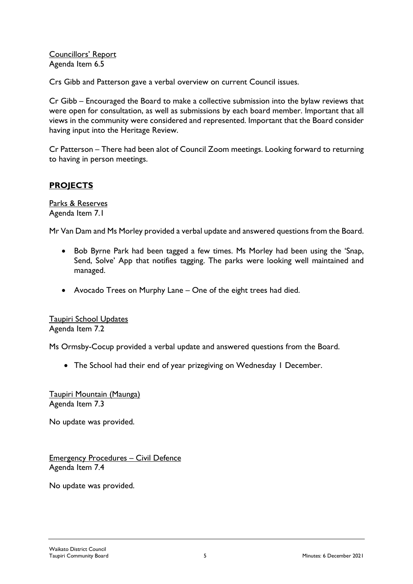Councillors' Report Agenda Item 6.5

Crs Gibb and Patterson gave a verbal overview on current Council issues.

Cr Gibb – Encouraged the Board to make a collective submission into the bylaw reviews that were open for consultation, as well as submissions by each board member. Important that all views in the community were considered and represented. Important that the Board consider having input into the Heritage Review.

Cr Patterson – There had been alot of Council Zoom meetings. Looking forward to returning to having in person meetings.

# **PROJECTS**

Parks & Reserves Agenda Item 7.1

Mr Van Dam and Ms Morley provided a verbal update and answered questions from the Board.

- Bob Byrne Park had been tagged a few times. Ms Morley had been using the 'Snap, Send, Solve' App that notifies tagging. The parks were looking well maintained and managed.
- Avocado Trees on Murphy Lane One of the eight trees had died.

Taupiri School Updates Agenda Item 7.2

Ms Ormsby-Cocup provided a verbal update and answered questions from the Board.

• The School had their end of year prizegiving on Wednesday I December.

Taupiri Mountain (Maunga) Agenda Item 7.3

No update was provided.

Emergency Procedures – Civil Defence Agenda Item 7.4

No update was provided.